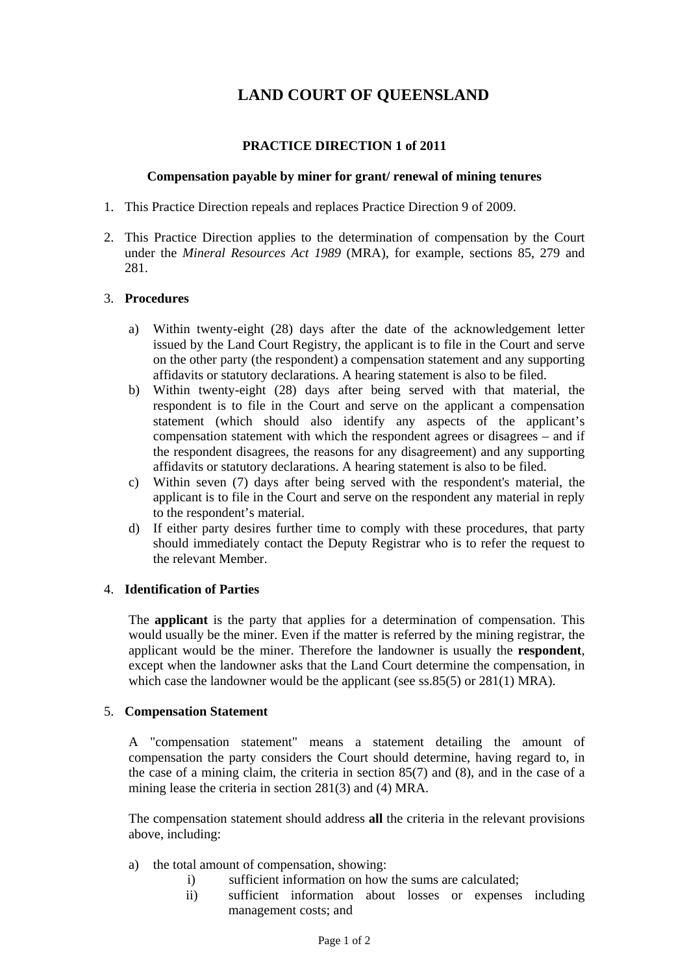# **LAND COURT OF QUEENSLAND**

## **PRACTICE DIRECTION 1 of 2011**

#### **Compensation payable by miner for grant/ renewal of mining tenures**

- 1. This Practice Direction repeals and replaces Practice Direction 9 of 2009.
- 2. This Practice Direction applies to the determination of compensation by the Court under the *Mineral Resources Act 1989* (MRA), for example, sections 85, 279 and 281.

#### 3. **Procedures**

- a) Within twenty-eight (28) days after the date of the acknowledgement letter issued by the Land Court Registry, the applicant is to file in the Court and serve on the other party (the respondent) a compensation statement and any supporting affidavits or statutory declarations. A hearing statement is also to be filed.
- b) Within twenty-eight (28) days after being served with that material, the respondent is to file in the Court and serve on the applicant a compensation statement (which should also identify any aspects of the applicant's compensation statement with which the respondent agrees or disagrees – and if the respondent disagrees, the reasons for any disagreement) and any supporting affidavits or statutory declarations. A hearing statement is also to be filed.
- c) Within seven (7) days after being served with the respondent's material, the applicant is to file in the Court and serve on the respondent any material in reply to the respondent's material.
- d) If either party desires further time to comply with these procedures, that party should immediately contact the Deputy Registrar who is to refer the request to the relevant Member.

## 4. **Identification of Parties**

The **applicant** is the party that applies for a determination of compensation. This would usually be the miner. Even if the matter is referred by the mining registrar, the applicant would be the miner. Therefore the landowner is usually the **respondent**, except when the landowner asks that the Land Court determine the compensation, in which case the landowner would be the applicant (see ss.85(5) or 281(1) MRA).

## 5. **Compensation Statement**

A "compensation statement" means a statement detailing the amount of compensation the party considers the Court should determine, having regard to, in the case of a mining claim, the criteria in section 85(7) and (8), and in the case of a mining lease the criteria in section 281(3) and (4) MRA.

The compensation statement should address **all** the criteria in the relevant provisions above, including:

- a) the total amount of compensation, showing:
	- i) sufficient information on how the sums are calculated;
	- ii) sufficient information about losses or expenses including management costs; and